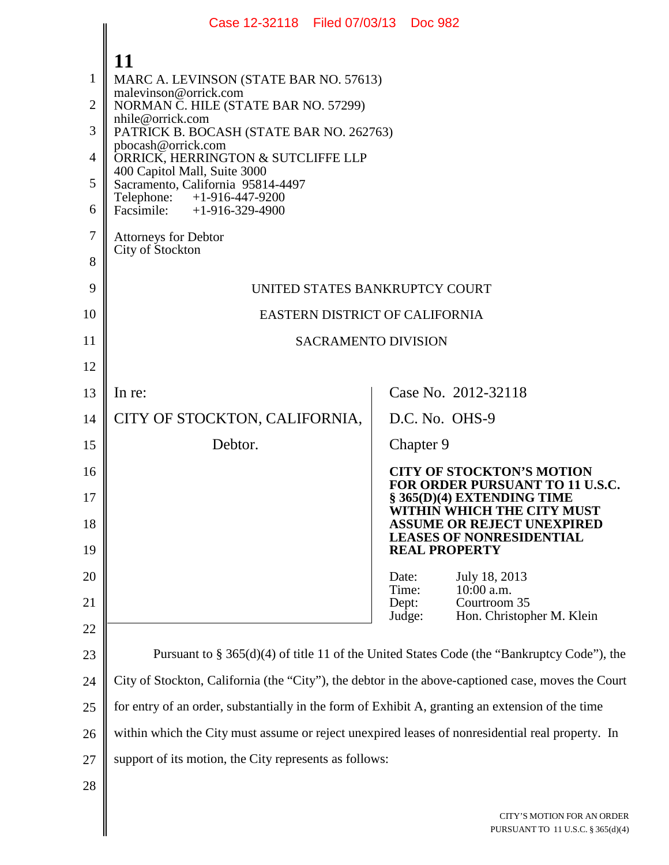|                                 | Case 12-32118 Filed 07/03/13 Doc 982                                                                                                                                                                                                                                                                                                                                                                                            |                                                                                                               |
|---------------------------------|---------------------------------------------------------------------------------------------------------------------------------------------------------------------------------------------------------------------------------------------------------------------------------------------------------------------------------------------------------------------------------------------------------------------------------|---------------------------------------------------------------------------------------------------------------|
| 1<br>2<br>3<br>4<br>5<br>6<br>7 | 11<br>MARC A. LEVINSON (STATE BAR NO. 57613)<br>malevinson@orrick.com<br>NORMAN C. HILE (STATE BAR NO. 57299)<br>nhile@orrick.com<br>PATRICK B. BOCASH (STATE BAR NO. 262763)<br>pbocash@orrick.com<br>ORRICK, HERRINGTON & SUTCLIFFE LLP<br>400 Capitol Mall, Suite 3000<br>Sacramento, California 95814-4497<br>Telephone: +1-916-447-9200<br>Facsimile: $+1-916-329-4900$<br><b>Attorneys for Debtor</b><br>City of Stockton |                                                                                                               |
| 8<br>9                          | UNITED STATES BANKRUPTCY COURT                                                                                                                                                                                                                                                                                                                                                                                                  |                                                                                                               |
| 10                              | EASTERN DISTRICT OF CALIFORNIA                                                                                                                                                                                                                                                                                                                                                                                                  |                                                                                                               |
| 11                              | <b>SACRAMENTO DIVISION</b>                                                                                                                                                                                                                                                                                                                                                                                                      |                                                                                                               |
| 12                              |                                                                                                                                                                                                                                                                                                                                                                                                                                 |                                                                                                               |
| 13                              | In re:                                                                                                                                                                                                                                                                                                                                                                                                                          | Case No. 2012-32118                                                                                           |
| 14                              | CITY OF STOCKTON, CALIFORNIA,                                                                                                                                                                                                                                                                                                                                                                                                   | D.C. No. OHS-9                                                                                                |
| 15                              | Debtor.                                                                                                                                                                                                                                                                                                                                                                                                                         | Chapter 9                                                                                                     |
| 16<br>17                        |                                                                                                                                                                                                                                                                                                                                                                                                                                 | <b>CITY OF STOCKTON'S MOTION</b><br>FOR ORDER PURSUANT TO 11 U.S.C.<br>§ 365(D)(4) EXTENDING TIME             |
| 18                              |                                                                                                                                                                                                                                                                                                                                                                                                                                 | WITHIN WHICH THE CITY MUST<br><b>ASSUME OR REJECT UNEXPIRED</b><br><b>LEASES OF NONRESIDENTIAL</b>            |
| 19                              |                                                                                                                                                                                                                                                                                                                                                                                                                                 | <b>REAL PROPERTY</b>                                                                                          |
| 20<br>21                        |                                                                                                                                                                                                                                                                                                                                                                                                                                 | July 18, 2013<br>Date:<br>10:00 a.m.<br>Time:<br>Courtroom 35<br>Dept:<br>Hon. Christopher M. Klein<br>Judge: |
| 22                              |                                                                                                                                                                                                                                                                                                                                                                                                                                 |                                                                                                               |
| 23                              | Pursuant to $\S 365(d)(4)$ of title 11 of the United States Code (the "Bankruptcy Code"), the                                                                                                                                                                                                                                                                                                                                   |                                                                                                               |
| 24                              | City of Stockton, California (the "City"), the debtor in the above-captioned case, moves the Court                                                                                                                                                                                                                                                                                                                              |                                                                                                               |
| 25                              | for entry of an order, substantially in the form of Exhibit A, granting an extension of the time                                                                                                                                                                                                                                                                                                                                |                                                                                                               |
| 26                              | within which the City must assume or reject unexpired leases of nonresidential real property. In                                                                                                                                                                                                                                                                                                                                |                                                                                                               |
| 27                              | support of its motion, the City represents as follows:                                                                                                                                                                                                                                                                                                                                                                          |                                                                                                               |
| 28                              |                                                                                                                                                                                                                                                                                                                                                                                                                                 |                                                                                                               |
|                                 |                                                                                                                                                                                                                                                                                                                                                                                                                                 | CITY'S MOTION FOR AN ORDER<br>PURSUANT TO 11 U.S.C. § 365(d)(4)                                               |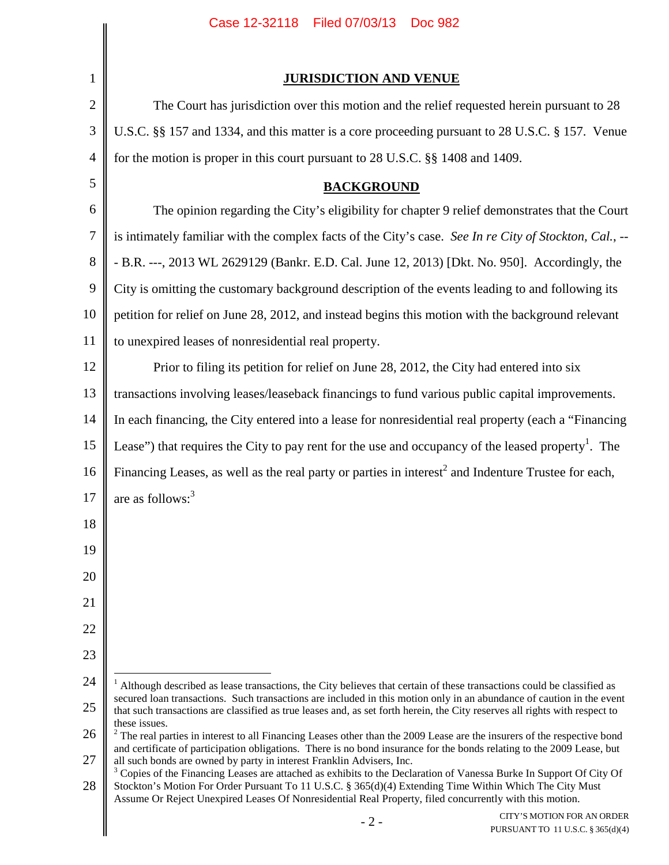<span id="page-1-2"></span><span id="page-1-1"></span><span id="page-1-0"></span>

|                | Filed 07/03/13<br>Case 12-32118<br><b>Doc 982</b>                                                                                                                                                                                                                                                                                                    |
|----------------|------------------------------------------------------------------------------------------------------------------------------------------------------------------------------------------------------------------------------------------------------------------------------------------------------------------------------------------------------|
|                |                                                                                                                                                                                                                                                                                                                                                      |
| $\mathbf{1}$   | <b>JURISDICTION AND VENUE</b>                                                                                                                                                                                                                                                                                                                        |
| $\mathbf{2}$   | The Court has jurisdiction over this motion and the relief requested herein pursuant to 28                                                                                                                                                                                                                                                           |
| $\mathfrak{Z}$ | U.S.C. §§ 157 and 1334, and this matter is a core proceeding pursuant to 28 U.S.C. § 157. Venue                                                                                                                                                                                                                                                      |
| $\overline{4}$ | for the motion is proper in this court pursuant to 28 U.S.C. §§ 1408 and 1409.                                                                                                                                                                                                                                                                       |
| 5              | <b>BACKGROUND</b>                                                                                                                                                                                                                                                                                                                                    |
| 6              | The opinion regarding the City's eligibility for chapter 9 relief demonstrates that the Court                                                                                                                                                                                                                                                        |
| $\tau$         | is intimately familiar with the complex facts of the City's case. See In re City of Stockton, Cal., --                                                                                                                                                                                                                                               |
| 8              | - B.R. ---, 2013 WL 2629129 (Bankr. E.D. Cal. June 12, 2013) [Dkt. No. 950]. Accordingly, the                                                                                                                                                                                                                                                        |
| 9              | City is omitting the customary background description of the events leading to and following its                                                                                                                                                                                                                                                     |
| 10             | petition for relief on June 28, 2012, and instead begins this motion with the background relevant                                                                                                                                                                                                                                                    |
| 11             | to unexpired leases of nonresidential real property.                                                                                                                                                                                                                                                                                                 |
| 12             | Prior to filing its petition for relief on June 28, 2012, the City had entered into six                                                                                                                                                                                                                                                              |
| 13             | transactions involving leases/leaseback financings to fund various public capital improvements.                                                                                                                                                                                                                                                      |
| 14             | In each financing, the City entered into a lease for nonresidential real property (each a "Financing                                                                                                                                                                                                                                                 |
| 15             | Lease") that requires the City to pay rent for the use and occupancy of the leased property <sup>1</sup> . The                                                                                                                                                                                                                                       |
| 16             | Financing Leases, as well as the real party or parties in interest <sup>2</sup> and Indenture Trustee for each,                                                                                                                                                                                                                                      |
| 17             | are as follows: $3$                                                                                                                                                                                                                                                                                                                                  |
| 18             |                                                                                                                                                                                                                                                                                                                                                      |
| 19             |                                                                                                                                                                                                                                                                                                                                                      |
| 20             |                                                                                                                                                                                                                                                                                                                                                      |
| 21             |                                                                                                                                                                                                                                                                                                                                                      |
| 22             |                                                                                                                                                                                                                                                                                                                                                      |
| 23             |                                                                                                                                                                                                                                                                                                                                                      |
| 24             | $1$ Although described as lease transactions, the City believes that certain of these transactions could be classified as                                                                                                                                                                                                                            |
| 25             | secured loan transactions. Such transactions are included in this motion only in an abundance of caution in the event<br>that such transactions are classified as true leases and, as set forth herein, the City reserves all rights with respect to                                                                                                 |
| 26             | these issues.<br>$2$ The real parties in interest to all Financing Leases other than the 2009 Lease are the insurers of the respective bond<br>and certificate of participation obligations. There is no bond insurance for the bonds relating to the 2009 Lease, but                                                                                |
| 27             | all such bonds are owned by party in interest Franklin Advisers, Inc.                                                                                                                                                                                                                                                                                |
| 28             | <sup>3</sup> Copies of the Financing Leases are attached as exhibits to the Declaration of Vanessa Burke In Support Of City Of<br>Stockton's Motion For Order Pursuant To 11 U.S.C. § 365(d)(4) Extending Time Within Which The City Must<br>Assume Or Reject Unexpired Leases Of Nonresidential Real Property, filed concurrently with this motion. |
|                | CITY'S MOTION FOR AN ORDER<br>$-2-$<br>PURSUANT TO 11 U.S.C. § 365(d)(4)                                                                                                                                                                                                                                                                             |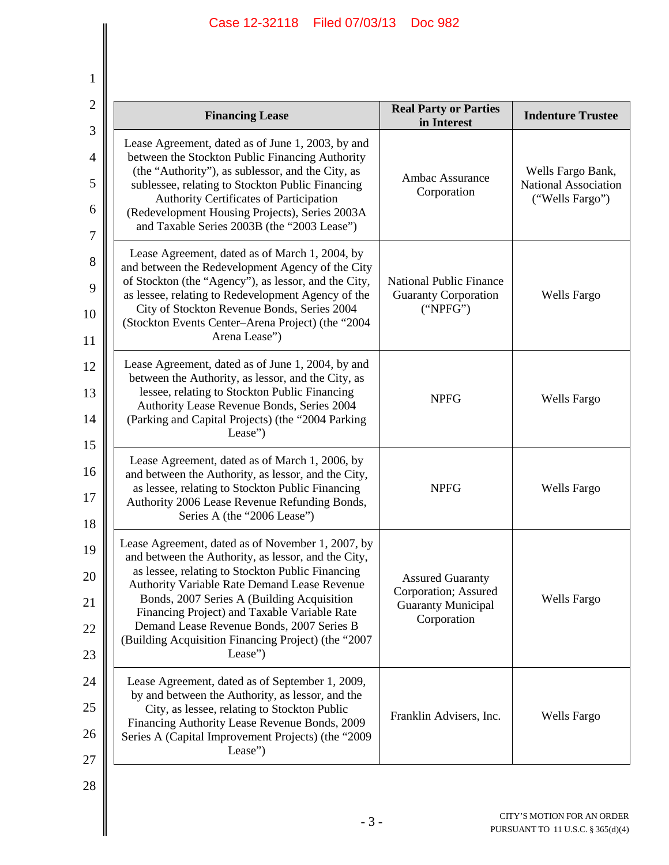1

| <b>T</b>                           |                                                                                                                                                                                                                                                                                                                                                                                                                           |                                                                                             |                                                              |
|------------------------------------|---------------------------------------------------------------------------------------------------------------------------------------------------------------------------------------------------------------------------------------------------------------------------------------------------------------------------------------------------------------------------------------------------------------------------|---------------------------------------------------------------------------------------------|--------------------------------------------------------------|
| $\mathbf{2}$                       | <b>Financing Lease</b>                                                                                                                                                                                                                                                                                                                                                                                                    | <b>Real Party or Parties</b><br>in Interest                                                 | <b>Indenture Trustee</b>                                     |
| 3<br>$\overline{4}$<br>5<br>6<br>7 | Lease Agreement, dated as of June 1, 2003, by and<br>between the Stockton Public Financing Authority<br>(the "Authority"), as sublessor, and the City, as<br>sublessee, relating to Stockton Public Financing<br>Authority Certificates of Participation<br>(Redevelopment Housing Projects), Series 2003A<br>and Taxable Series 2003B (the "2003 Lease")                                                                 | Ambac Assurance<br>Corporation                                                              | Wells Fargo Bank,<br>National Association<br>("Wells Fargo") |
| 8<br>9<br>10<br>11                 | Lease Agreement, dated as of March 1, 2004, by<br>and between the Redevelopment Agency of the City<br>of Stockton (the "Agency"), as lessor, and the City,<br>as lessee, relating to Redevelopment Agency of the<br>City of Stockton Revenue Bonds, Series 2004<br>(Stockton Events Center-Arena Project) (the "2004<br>Arena Lease")                                                                                     | <b>National Public Finance</b><br><b>Guaranty Corporation</b><br>("NPEG")                   | <b>Wells Fargo</b>                                           |
| 12<br>13<br>14<br>15               | Lease Agreement, dated as of June 1, 2004, by and<br>between the Authority, as lessor, and the City, as<br>lessee, relating to Stockton Public Financing<br>Authority Lease Revenue Bonds, Series 2004<br>(Parking and Capital Projects) (the "2004 Parking<br>Lease")                                                                                                                                                    | <b>NPFG</b>                                                                                 | <b>Wells Fargo</b>                                           |
| 16<br>17<br>18                     | Lease Agreement, dated as of March 1, 2006, by<br>and between the Authority, as lessor, and the City,<br>as lessee, relating to Stockton Public Financing<br>Authority 2006 Lease Revenue Refunding Bonds,<br>Series A (the "2006 Lease")                                                                                                                                                                                 | <b>NPFG</b>                                                                                 | <b>Wells Fargo</b>                                           |
| 19<br>20<br>21<br>22<br>23         | Lease Agreement, dated as of November 1, 2007, by<br>and between the Authority, as lessor, and the City,<br>as lessee, relating to Stockton Public Financing<br>Authority Variable Rate Demand Lease Revenue<br>Bonds, 2007 Series A (Building Acquisition<br>Financing Project) and Taxable Variable Rate<br>Demand Lease Revenue Bonds, 2007 Series B<br>(Building Acquisition Financing Project) (the "2007<br>Lease") | <b>Assured Guaranty</b><br>Corporation; Assured<br><b>Guaranty Municipal</b><br>Corporation | Wells Fargo                                                  |
| 24<br>25<br>26<br>27               | Lease Agreement, dated as of September 1, 2009,<br>by and between the Authority, as lessor, and the<br>City, as lessee, relating to Stockton Public<br>Financing Authority Lease Revenue Bonds, 2009<br>Series A (Capital Improvement Projects) (the "2009<br>Lease")                                                                                                                                                     | Franklin Advisers, Inc.                                                                     | <b>Wells Fargo</b>                                           |
| 28                                 |                                                                                                                                                                                                                                                                                                                                                                                                                           |                                                                                             |                                                              |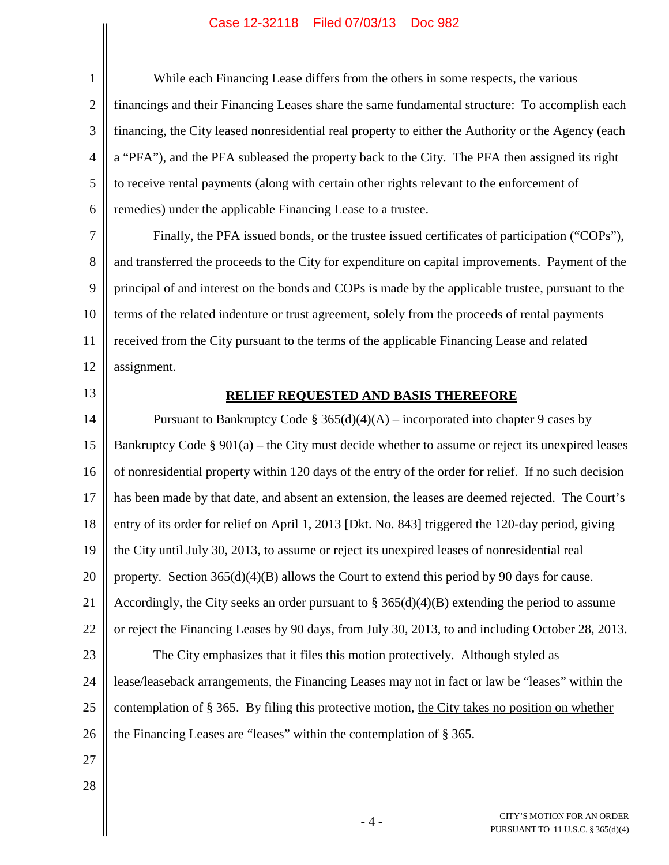# Case 12-32118 Filed 07/03/13 Doc 982

| $\mathbf{1}$   | While each Financing Lease differs from the others in some respects, the various                     |
|----------------|------------------------------------------------------------------------------------------------------|
| $\overline{2}$ | financings and their Financing Leases share the same fundamental structure: To accomplish each       |
| 3              | financing, the City leased nonresidential real property to either the Authority or the Agency (each  |
| $\overline{4}$ | a "PFA"), and the PFA subleased the property back to the City. The PFA then assigned its right       |
| 5              | to receive rental payments (along with certain other rights relevant to the enforcement of           |
| 6              | remedies) under the applicable Financing Lease to a trustee.                                         |
| 7              | Finally, the PFA issued bonds, or the trustee issued certificates of participation ("COPs"),         |
| 8              | and transferred the proceeds to the City for expenditure on capital improvements. Payment of the     |
| 9              | principal of and interest on the bonds and COPs is made by the applicable trustee, pursuant to the   |
| 10             | terms of the related indenture or trust agreement, solely from the proceeds of rental payments       |
| 11             | received from the City pursuant to the terms of the applicable Financing Lease and related           |
| 12             | assignment.                                                                                          |
| 13             | <b>RELIEF REQUESTED AND BASIS THEREFORE</b>                                                          |
| 14             | Pursuant to Bankruptcy Code § 365(d)(4)(A) – incorporated into chapter 9 cases by                    |
| 15             | Bankruptcy Code § $901(a)$ – the City must decide whether to assume or reject its unexpired leases   |
| 16             | of nonresidential property within 120 days of the entry of the order for relief. If no such decision |
| 17             | has been made by that date, and absent an extension, the leases are deemed rejected. The Court's     |
| 18             | entry of its order for relief on April 1, 2013 [Dkt. No. 843] triggered the 120-day period, giving   |
| 19             | the City until July 30, 2013, to assume or reject its unexpired leases of nonresidential real        |
| 20             | property. Section $365(d)(4)(B)$ allows the Court to extend this period by 90 days for cause.        |
| 21             | Accordingly, the City seeks an order pursuant to $\S 365(d)(4)(B)$ extending the period to assume    |
| 22             | or reject the Financing Leases by 90 days, from July 30, 2013, to and including October 28, 2013.    |
| 23             | The City emphasizes that it files this motion protectively. Although styled as                       |
| 24             | lease/leaseback arrangements, the Financing Leases may not in fact or law be "leases" within the     |
| 25             | contemplation of § 365. By filing this protective motion, the City takes no position on whether      |
| 26             | the Financing Leases are "leases" within the contemplation of § 365.                                 |
| 27             |                                                                                                      |
| 28             |                                                                                                      |
|                | CITY'S MOTION FOR AN ORDER<br>$-4-$<br>PURSUANT TO 11 U.S.C. § 365(d)(4)                             |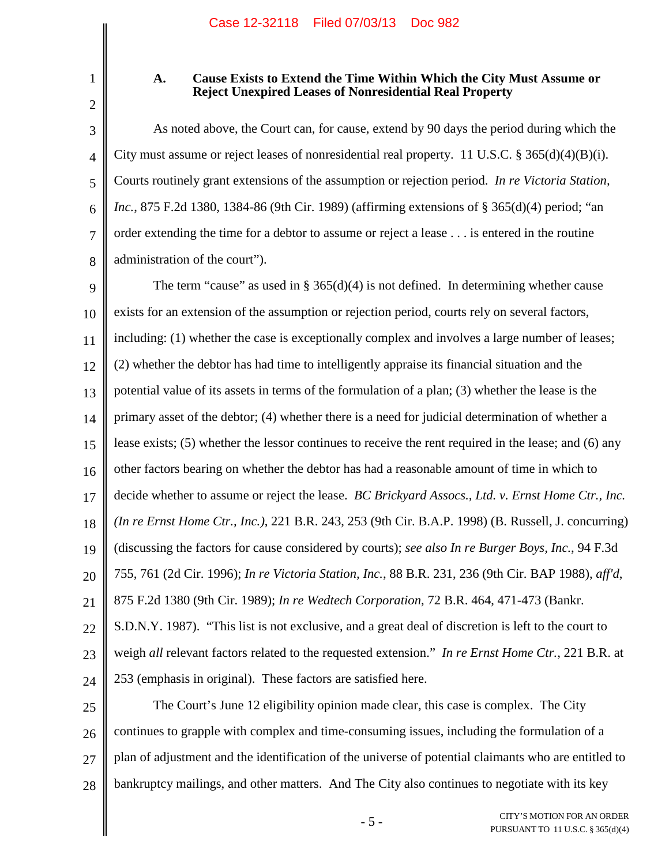2

1

### **A. Cause Exists to Extend the Time Within Which the City Must Assume or Reject Unexpired Leases of Nonresidential Real Property**

3 4 5 6 7 8 As noted above, the Court can, for cause, extend by 90 days the period during which the City must assume or reject leases of nonresidential real property. 11 U.S.C. § 365(d)(4)(B)(i). Courts routinely grant extensions of the assumption or rejection period. *In re Victoria Station, Inc.*, 875 F.2d 1380, 1384-86 (9th Cir. 1989) (affirming extensions of § 365(d)(4) period; "an order extending the time for a debtor to assume or reject a lease . . . is entered in the routine administration of the court").

9 10 11 12 13 14 15 16 17 18 19 20 21 22 23 24 The term "cause" as used in §  $365(d)(4)$  is not defined. In determining whether cause exists for an extension of the assumption or rejection period, courts rely on several factors, including: (1) whether the case is exceptionally complex and involves a large number of leases; (2) whether the debtor has had time to intelligently appraise its financial situation and the potential value of its assets in terms of the formulation of a plan; (3) whether the lease is the primary asset of the debtor; (4) whether there is a need for judicial determination of whether a lease exists; (5) whether the lessor continues to receive the rent required in the lease; and (6) any other factors bearing on whether the debtor has had a reasonable amount of time in which to decide whether to assume or reject the lease. *BC Brickyard Assocs., Ltd. v. Ernst Home Ctr., Inc. (In re Ernst Home Ctr., Inc.)*, 221 B.R. 243, 253 (9th Cir. B.A.P. 1998) (B. Russell, J. concurring) (discussing the factors for cause considered by courts); *see also In re Burger Boys, Inc.*, 94 F.3d 755, 761 (2d Cir. 1996); *In re Victoria Station, Inc.*, 88 B.R. 231, 236 (9th Cir. BAP 1988), *aff'd*, 875 F.2d 1380 (9th Cir. 1989); *In re Wedtech Corporation*, 72 B.R. 464, 471-473 (Bankr. S.D.N.Y. 1987). "This list is not exclusive, and a great deal of discretion is left to the court to weigh *all* relevant factors related to the requested extension." *In re Ernst Home Ctr.*, 221 B.R. at 253 (emphasis in original). These factors are satisfied here.

25 26 27 28 The Court's June 12 eligibility opinion made clear, this case is complex. The City continues to grapple with complex and time-consuming issues, including the formulation of a plan of adjustment and the identification of the universe of potential claimants who are entitled to bankruptcy mailings, and other matters. And The City also continues to negotiate with its key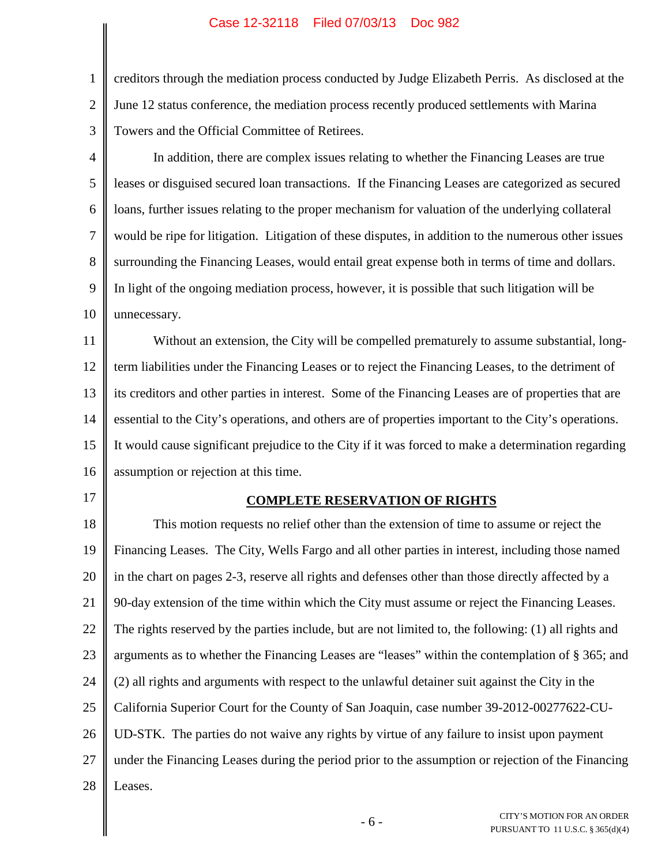### Case 12-32118 Filed 07/03/13 Doc 982

1 2 3 creditors through the mediation process conducted by Judge Elizabeth Perris. As disclosed at the June 12 status conference, the mediation process recently produced settlements with Marina Towers and the Official Committee of Retirees.

4 5 6 7 8 9 10 In addition, there are complex issues relating to whether the Financing Leases are true leases or disguised secured loan transactions. If the Financing Leases are categorized as secured loans, further issues relating to the proper mechanism for valuation of the underlying collateral would be ripe for litigation. Litigation of these disputes, in addition to the numerous other issues surrounding the Financing Leases, would entail great expense both in terms of time and dollars. In light of the ongoing mediation process, however, it is possible that such litigation will be unnecessary.

11 12 13 14 15 16 Without an extension, the City will be compelled prematurely to assume substantial, longterm liabilities under the Financing Leases or to reject the Financing Leases, to the detriment of its creditors and other parties in interest. Some of the Financing Leases are of properties that are essential to the City's operations, and others are of properties important to the City's operations. It would cause significant prejudice to the City if it was forced to make a determination regarding assumption or rejection at this time.

17

#### **COMPLETE RESERVATION OF RIGHTS**

18 19 20 21 22 23 24 25 26 27 28 This motion requests no relief other than the extension of time to assume or reject the Financing Leases. The City, Wells Fargo and all other parties in interest, including those named in the chart on pages 2-3, reserve all rights and defenses other than those directly affected by a 90-day extension of the time within which the City must assume or reject the Financing Leases. The rights reserved by the parties include, but are not limited to, the following: (1) all rights and arguments as to whether the Financing Leases are "leases" within the contemplation of § 365; and (2) all rights and arguments with respect to the unlawful detainer suit against the City in the California Superior Court for the County of San Joaquin, case number 39-2012-00277622-CU-UD-STK. The parties do not waive any rights by virtue of any failure to insist upon payment under the Financing Leases during the period prior to the assumption or rejection of the Financing Leases.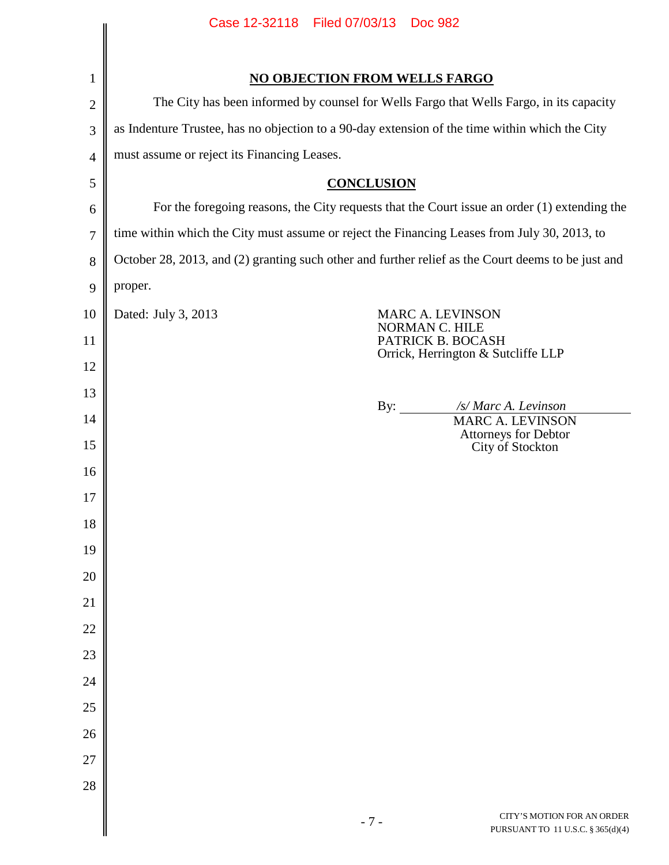|                | Case 12-32118 Filed 07/03/13<br><b>Doc 982</b>                                                     |  |
|----------------|----------------------------------------------------------------------------------------------------|--|
|                |                                                                                                    |  |
| $\mathbf{1}$   | <b>NO OBJECTION FROM WELLS FARGO</b>                                                               |  |
| $\overline{2}$ | The City has been informed by counsel for Wells Fargo that Wells Fargo, in its capacity            |  |
| 3              | as Indenture Trustee, has no objection to a 90-day extension of the time within which the City     |  |
| $\overline{4}$ | must assume or reject its Financing Leases.                                                        |  |
| 5              | <b>CONCLUSION</b>                                                                                  |  |
| 6              | For the foregoing reasons, the City requests that the Court issue an order (1) extending the       |  |
| $\overline{7}$ | time within which the City must assume or reject the Financing Leases from July 30, 2013, to       |  |
| 8              | October 28, 2013, and (2) granting such other and further relief as the Court deems to be just and |  |
| 9              | proper.                                                                                            |  |
| 10             | Dated: July 3, 2013<br><b>MARC A. LEVINSON</b>                                                     |  |
| 11             | NORMAN C. HILE<br>PATRICK B. BOCASH                                                                |  |
| 12             | Orrick, Herrington & Sutcliffe LLP                                                                 |  |
| 13             |                                                                                                    |  |
| 14             | By: /s/ Marc A. Levinson<br>MARC A. LEVINSON                                                       |  |
| 15             | Attorneys for Debtor<br>City of Stockton                                                           |  |
| 16             |                                                                                                    |  |
| 17             |                                                                                                    |  |
| 18             |                                                                                                    |  |
| 19             |                                                                                                    |  |
| 20             |                                                                                                    |  |
| 21             |                                                                                                    |  |
| 22             |                                                                                                    |  |
| 23             |                                                                                                    |  |
| 24             |                                                                                                    |  |
| 25             |                                                                                                    |  |
| 26             |                                                                                                    |  |
| 27             |                                                                                                    |  |
| 28             |                                                                                                    |  |
|                | CITY'S MOTION FOR AN ORDER<br>$-7-$<br>PURSUANT TO 11 U.S.C. § 365(d)(4)                           |  |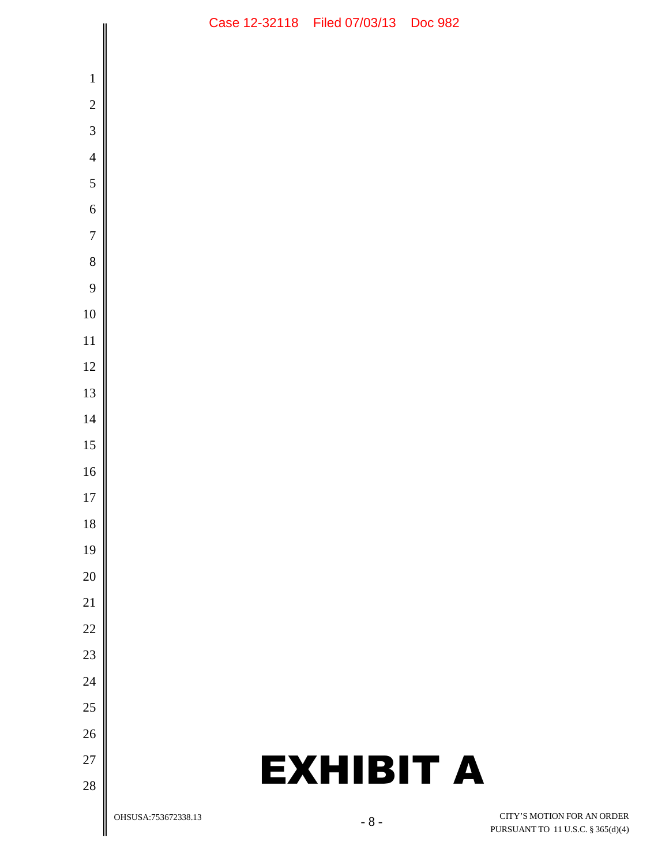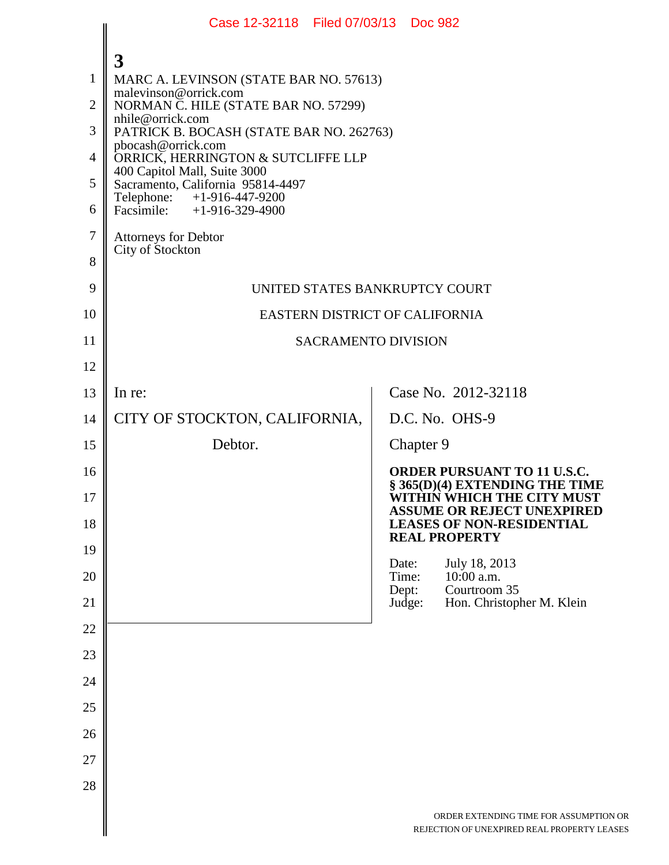|                | Case 12-32118 Filed 07/03/13 Doc 982                              |                                                                                                     |  |
|----------------|-------------------------------------------------------------------|-----------------------------------------------------------------------------------------------------|--|
|                | $\overline{3}$                                                    |                                                                                                     |  |
| $\mathbf{1}$   | MARC A. LEVINSON (STATE BAR NO. 57613)                            |                                                                                                     |  |
| $\overline{2}$ | malevinson@orrick.com<br>NORMAN C. HILE (STATE BAR NO. 57299)     |                                                                                                     |  |
| 3              | nhile@orrick.com<br>PATRICK B. BOCASH (STATE BAR NO. 262763)      |                                                                                                     |  |
| $\overline{4}$ | pbocash@orrick.com<br>ORRICK, HERRINGTON & SUTCLIFFE LLP          |                                                                                                     |  |
| 5              | 400 Capitol Mall, Suite 3000<br>Sacramento, California 95814-4497 |                                                                                                     |  |
| 6              | Telephone: +1-916-447-9200<br>Facsimile: $+1-916-329-4900$        |                                                                                                     |  |
| $\overline{7}$ | <b>Attorneys for Debtor</b><br>City of Stockton                   |                                                                                                     |  |
| 8              |                                                                   |                                                                                                     |  |
| 9              | UNITED STATES BANKRUPTCY COURT                                    |                                                                                                     |  |
| 10             | EASTERN DISTRICT OF CALIFORNIA                                    |                                                                                                     |  |
| 11             | <b>SACRAMENTO DIVISION</b>                                        |                                                                                                     |  |
| 12             |                                                                   |                                                                                                     |  |
| 13             | In re:                                                            | Case No. 2012-32118                                                                                 |  |
| 14             | CITY OF STOCKTON, CALIFORNIA,                                     | D.C. No. OHS-9                                                                                      |  |
| 15             | Debtor.                                                           | Chapter 9                                                                                           |  |
| 16             |                                                                   | <b>ORDER PURSUANT TO 11 U.S.C.</b><br>§ 365(D)(4) EXTENDING THE TIME                                |  |
| 17<br>18       |                                                                   | WITHIN WHICH THE CITY MUST<br><b>ASSUME OR REJECT UNEXPIRED</b><br><b>LEASES OF NON-RESIDENTIAL</b> |  |
| 19             |                                                                   | <b>REAL PROPERTY</b>                                                                                |  |
| 20             |                                                                   | Date:<br>July 18, 2013<br>Time:<br>$10:00$ a.m.<br>Dept:<br>Courtroom 35                            |  |
| 21             |                                                                   | Judge:<br>Hon. Christopher M. Klein                                                                 |  |
| 22             |                                                                   |                                                                                                     |  |
| 23             |                                                                   |                                                                                                     |  |
| 24             |                                                                   |                                                                                                     |  |
| 25             |                                                                   |                                                                                                     |  |
| 26             |                                                                   |                                                                                                     |  |
| 27             |                                                                   |                                                                                                     |  |
| 28             |                                                                   |                                                                                                     |  |
|                |                                                                   | ORDER EXTENDING TIME FOR ASSUMPTION OR<br>REJECTION OF UNEXPIRED REAL PROPERTY LEASES               |  |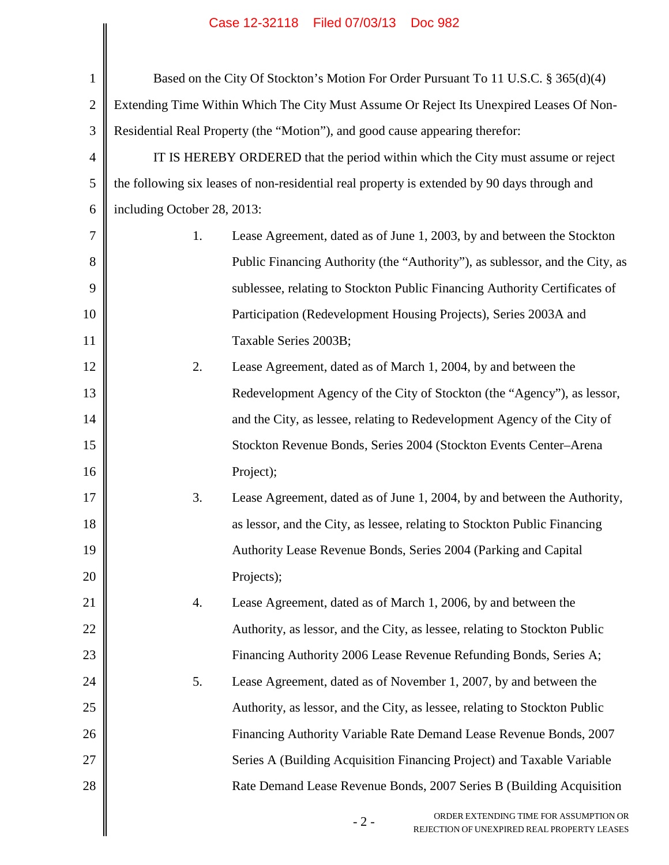# Case 12-32118 Filed 07/03/13 Doc 982

|                |                             | Case IZ-32110 Filed 07/03/13 DOC 902                                                           |
|----------------|-----------------------------|------------------------------------------------------------------------------------------------|
| $\mathbf{1}$   |                             | Based on the City Of Stockton's Motion For Order Pursuant To 11 U.S.C. § 365(d)(4)             |
| $\overline{2}$ |                             | Extending Time Within Which The City Must Assume Or Reject Its Unexpired Leases Of Non-        |
| 3              |                             | Residential Real Property (the "Motion"), and good cause appearing therefor:                   |
| 4              |                             | IT IS HEREBY ORDERED that the period within which the City must assume or reject               |
| 5              |                             | the following six leases of non-residential real property is extended by 90 days through and   |
| 6              | including October 28, 2013: |                                                                                                |
| 7              | 1.                          | Lease Agreement, dated as of June 1, 2003, by and between the Stockton                         |
| 8              |                             | Public Financing Authority (the "Authority"), as sublessor, and the City, as                   |
| 9              |                             | sublessee, relating to Stockton Public Financing Authority Certificates of                     |
| 10             |                             | Participation (Redevelopment Housing Projects), Series 2003A and                               |
| 11             |                             | Taxable Series 2003B;                                                                          |
| 12             | 2.                          | Lease Agreement, dated as of March 1, 2004, by and between the                                 |
| 13             |                             | Redevelopment Agency of the City of Stockton (the "Agency"), as lessor,                        |
| 14             |                             | and the City, as lessee, relating to Redevelopment Agency of the City of                       |
| 15             |                             | Stockton Revenue Bonds, Series 2004 (Stockton Events Center-Arena                              |
| 16             |                             | Project);                                                                                      |
| 17             | 3.                          | Lease Agreement, dated as of June 1, 2004, by and between the Authority,                       |
| 18             |                             | as lessor, and the City, as lessee, relating to Stockton Public Financing                      |
| 19             |                             | Authority Lease Revenue Bonds, Series 2004 (Parking and Capital                                |
| 20             |                             | Projects);                                                                                     |
| 21             | 4.                          | Lease Agreement, dated as of March 1, 2006, by and between the                                 |
| 22             |                             | Authority, as lessor, and the City, as lessee, relating to Stockton Public                     |
| 23             |                             | Financing Authority 2006 Lease Revenue Refunding Bonds, Series A;                              |
| 24             | 5.                          | Lease Agreement, dated as of November 1, 2007, by and between the                              |
| 25             |                             | Authority, as lessor, and the City, as lessee, relating to Stockton Public                     |
| 26             |                             | Financing Authority Variable Rate Demand Lease Revenue Bonds, 2007                             |
| 27             |                             | Series A (Building Acquisition Financing Project) and Taxable Variable                         |
| 28             |                             | Rate Demand Lease Revenue Bonds, 2007 Series B (Building Acquisition                           |
|                |                             | ORDER EXTENDING TIME FOR ASSUMPTION OR<br>$-2-$<br>REJECTION OF UNEXPIRED REAL PROPERTY LEASES |